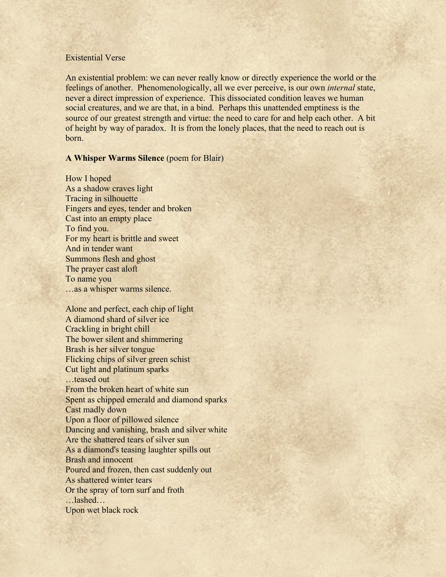## Existential Verse

An existential problem: we can never really know or directly experience the world or the feelings of another. Phenomenologically, all we ever perceive, is our own *internal* state, never a direct impression of experience. This dissociated condition leaves we human social creatures, and we are that, in a bind. Perhaps this unattended emptiness is the source of our greatest strength and virtue: the need to care for and help each other. A bit of height by way of paradox. It is from the lonely places, that the need to reach out is born.

## **A Whisper Warms Silence** (poem for Blair)

How I hoped As a shadow craves light Tracing in silhouette Fingers and eyes, tender and broken Cast into an empty place To find you. For my heart is brittle and sweet And in tender want Summons flesh and ghost The prayer cast aloft To name you …as a whisper warms silence.

Alone and perfect, each chip of light A diamond shard of silver ice Crackling in bright chill The bower silent and shimmering Brash is her silver tongue Flicking chips of silver green schist Cut light and platinum sparks …teased out From the broken heart of white sun Spent as chipped emerald and diamond sparks Cast madly down Upon a floor of pillowed silence Dancing and vanishing, brash and silver white Are the shattered tears of silver sun As a diamond's teasing laughter spills out Brash and innocent Poured and frozen, then cast suddenly out As shattered winter tears Or the spray of torn surf and froth …lashed… Upon wet black rock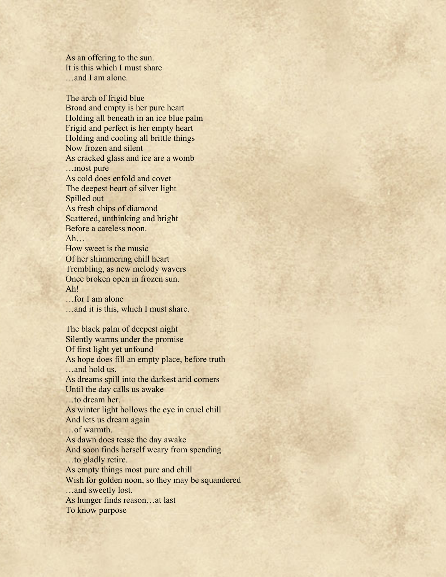As an offering to the sun. It is this which I must share …and I am alone.

The arch of frigid blue Broad and empty is her pure heart Holding all beneath in an ice blue palm Frigid and perfect is her empty heart Holding and cooling all brittle things Now frozen and silent As cracked glass and ice are a womb …most pure As cold does enfold and covet The deepest heart of silver light Spilled out As fresh chips of diamond Scattered, unthinking and bright Before a careless noon. Ah… How sweet is the music Of her shimmering chill heart Trembling, as new melody wavers Once broken open in frozen sun. Ah! …for I am alone …and it is this, which I must share. The black palm of deepest night Silently warms under the promise Of first light yet unfound As hope does fill an empty place, before truth …and hold us. As dreams spill into the darkest arid corners Until the day calls us awake …to dream her. As winter light hollows the eye in cruel chill And lets us dream again …of warmth. As dawn does tease the day awake And soon finds herself weary from spending …to gladly retire. As empty things most pure and chill Wish for golden noon, so they may be squandered …and sweetly lost. As hunger finds reason…at last To know purpose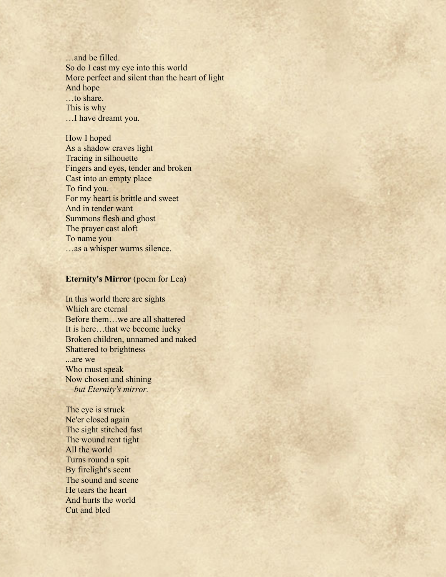…and be filled. So do I cast my eye into this world More perfect and silent than the heart of light And hope …to share. This is why …I have dreamt you.

How I hoped As a shadow craves light Tracing in silhouette Fingers and eyes, tender and broken Cast into an empty place To find you. For my heart is brittle and sweet And in tender want Summons flesh and ghost The prayer cast aloft To name you …as a whisper warms silence.

## **Eternity's Mirror** (poem for Lea)

In this world there are sights Which are eternal Before them…we are all shattered It is here…that we become lucky Broken children, unnamed and naked Shattered to brightness ...are we Who must speak

Now chosen and shining ––*but Eternity's mirror.*

The eye is struck Ne'er closed again The sight stitched fast The wound rent tight All the world Turns round a spit By firelight's scent The sound and scene He tears the heart And hurts the world Cut and bled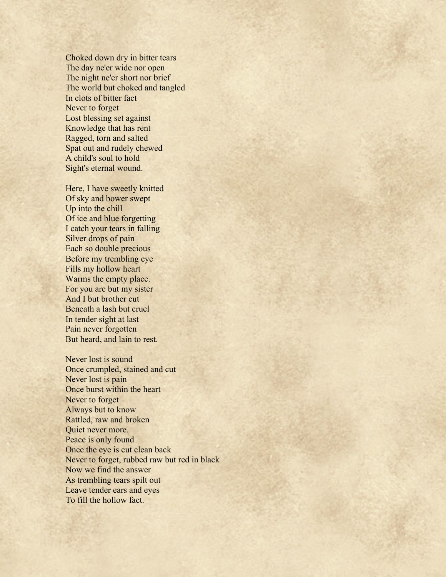Choked down dry in bitter tears The day ne'er wide nor open The night ne'er short nor brief The world but choked and tangled In clots of bitter fact Never to forget Lost blessing set against Knowledge that has rent Ragged, torn and salted Spat out and rudely chewed A child's soul to hold Sight's eternal wound.

Here, I have sweetly knitted Of sky and bower swept Up into the chill Of ice and blue forgetting I catch your tears in falling Silver drops of pain Each so double precious Before my trembling eye Fills my hollow heart Warms the empty place. For you are but my sister And I but brother cut Beneath a lash but cruel In tender sight at last Pain never forgotten But heard, and lain to rest.

Never lost is sound Once crumpled, stained and cut Never lost is pain Once burst within the heart Never to forget Always but to know Rattled, raw and broken Quiet never more. Peace is only found Once the eye is cut clean back Never to forget, rubbed raw but red in black Now we find the answer As trembling tears spilt out Leave tender ears and eyes To fill the hollow fact.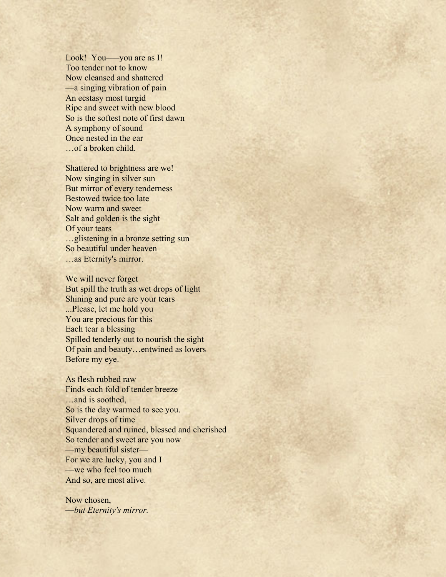Look! You—you are as I! Too tender not to know Now cleansed and shattered ––a singing vibration of pain An ecstasy most turgid Ripe and sweet with new blood So is the softest note of first dawn A symphony of sound Once nested in the ear …of a broken child.

Shattered to brightness are we! Now singing in silver sun But mirror of every tenderness Bestowed twice too late Now warm and sweet Salt and golden is the sight Of your tears …glistening in a bronze setting sun So beautiful under heaven …as Eternity's mirror.

We will never forget But spill the truth as wet drops of light Shining and pure are your tears ...Please, let me hold you You are precious for this Each tear a blessing Spilled tenderly out to nourish the sight Of pain and beauty…entwined as lovers Before my eye.

As flesh rubbed raw Finds each fold of tender breeze …and is soothed, So is the day warmed to see you. Silver drops of time Squandered and ruined, blessed and cherished So tender and sweet are you now ––my beautiful sister–– For we are lucky, you and I ––we who feel too much And so, are most alive.

Now chosen, *––but Eternity's mirror.*